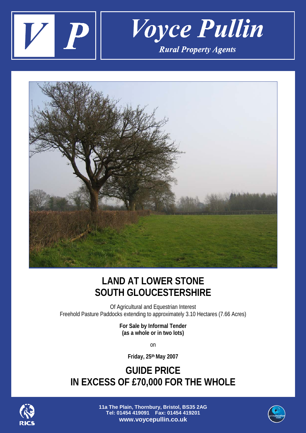



## **LAND AT LOWER STONE SOUTH GLOUCESTERSHIRE**

Of Agricultural and Equestrian Interest Freehold Pasture Paddocks extending to approximately 3.10 Hectares (7.66 Acres)

> **For Sale by Informal Tender (as a whole or in two lots)**

> > on

**Friday, 25th May 2007**

**GUIDE PRICE IN EXCESS OF £70,000 FOR THE WHOLE**



**11a The Plain, Thornbury, Bristol, BS35 2AG Tel: 01454 419091 Fax: 01454 419201 www.voycepullin.co.uk**